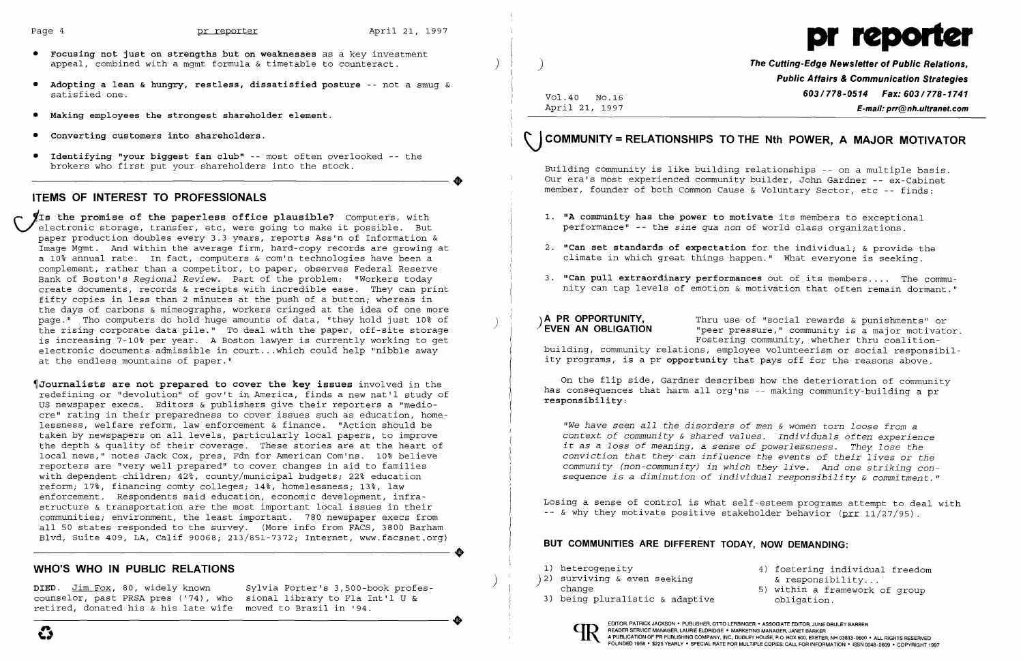$\bullet$ 

- Page 4 **pr reporter** April 21, 1997 **• Focusing not just on strengths but on weaknesses** as a key investment appeal, combined with a mgmt formula & timetable to counteract.  $\qquad \qquad )$   $\qquad \qquad )$
- **• Adopting a lean & hungry, restless, dissatisfied posture** -- not a smug & satisfied one.
- Making employees the strongest shareholder element.
- Converting customers into shareholders.
- **• Identifying "your biggest fan club"** -- most often overlooked -- the brokers who first put your shareholders into the stock.

## **ITEMS OF INTEREST TO PROFESSIONALS**

**/Is the promise of the paperless office plausible?** Computers, with electronic storage, transfer, etc, were going to make it possible. But paper production doubles every 3.3 years, reports Ass'n of Information & Image Mgmt. And within the average firm, hard-copy records are growing at <sup>a</sup>10~ annual rate. **In** fact, computers & com'n technologies have been a complement, rather than a competitor, to paper, observes Federal Reserve Bank of Boston's *Regional Review.* Part of the problem: "Workers today create documents, records & receipts with incredible ease. They can print fifty copies in less than 2 minutes at the push of a button; whereas in the days of carbons & mimeographs, workers cringed at the idea of one more page." Tho computers do hold huge amounts of data, "they hold just 10% of the rising corporate data pile." To deal with the paper, off-site storage is increasing 7-10% per year. A Boston lawyer is currently working to get electronic documents admissible in court ...which could help "nibble away at the endless mountains of paper."

~Journalists **are not prepared to cover the key issues** involved in the redefining or "devolution" of gov't in America, finds a new nat'l study of US newspaper execs. Editors & publishers give their reporters a "medio cre" rating in their preparedness to cover issues such as education, home lessness, welfare reform, law enforcement & finance. "Action should be taken by newspapers on all levels, particularly local papers, to improve the depth & quality of their coverage. These stories are at the heart of local news," notes Jack Cox, pres, Fdn for American Com'ns. 10% believe reporters are "very well prepared" to cover changes in aid to families with dependent children; 42%, county/municipal budgets; 22% education reform; 17%, financing comty colleges; 14%, homelessness; 13%, law enforcement. Respondents said education, economic development, infrastructure & transportation are the most important local issues in their communities; environment, the least important. 780 newspaper execs from all 50 states responded to the survey. (More info from FACS, 3800 Barham Blvd, Suite 409, LA, Calif 90068; 213/851-7372; Internet, www.facsnet.org) all 50 states responded to the survey. (More info from FACS, 3800 Barham<br>Blvd, Suite 409, LA, Calif 90068; 213/851-7372; Internet, www.facsnet.org)

Losing a sense of control is what self-esteem programs attempt to deal with  $-$  & why they motivate positive stakeholder behavior (prr 11/27/95).

### **WHO'S WHO IN PUBLIC RELATIONS**

counselor, past PRSA pres ('74), who sional library to Fla Int'l U & retired, donated his & his late wife moved to Brazil in '94. DIED. <u>JIM FOX</u>, 80, WIGELY KNOWN SYIVIA POTTET'S 3,500-DOOK PTOTES-<br>counselor, past PRSA pres ('74), who sional library to Fla Int'l U &<br>retired, donated his & his late wife moved to Brazil in '94.

) **DIED.** Jim Fox, 80, widely known Sylvia Porter's 3,500-book profes

**Public Affairs & Communication Strategies**  Vol.40 No.16 **603/778-0514 Fax: 603/778-1741**<br>April 21, 1997 **F-mail: prr@nh.ultranet.com** April 21, 1997 **E-mail: prr@nh.ultranet.com** 

# **\J COMMUNITY = RELATIONSHIPS TO THE Nth POWER, A MAJOR MOTIVATOR**

Building community is like building relationships -- on a multiple basis. Our era's most experienced community builder, John Gardner -- ex-Cabinet member, founder of both Common Cause & Voluntary Sector, etc -- finds:

- 1. **"A community has the power to motivate** its members to exceptional performance" -- the *sine qua non* of world class organizations.
- 2. **"Can set standards of expectation** for the individual; & provide the climate in which great things happen." What everyone is seeking.
- 3. **"Can pull extraordinary performances** out of its members.... The commu-

nity can tap levels of emotion & motivation that often remain dormant."

' **A PR OPPORTUNITY,** Thru use of i'social rewards & punishments" or ) **EVEN AN OBLIGATION** "peer pressure," community is a major motivator. Fostering community, whether thru coalitionbuilding, community relations, employee volunteerism or social responsibility programs, is a pr **opportunity** that pays off for the reasons above.

On the flip side, Gardner describes how the deterioration of community has consequences that harm all org'ns -- making community-building a pr **responsibility:** 

*"We have seen all the disorders* of *men* & *women torn loose from* <sup>a</sup> *context* of *community* & *shared values. Individuals often experience it* as a *loss* of *meaning,* a *sense* of *powerlessness. They lose the conviction that they can influence the events* of *their lives* or *the community (non-community) in which they live. And one striking consequence is* a *diminution* of *individual responsibility* & *commitment."* 

## **BUT COMMUNITIES ARE DIFFERENT TODAY, NOW DEMANDING:**

- 1) heterogeneity
- ) 2) surviving & even seeking change
- 3) being pluralistic & adaptive



EDITOR, PATRICK JACKSON . PUBLISHIER, OTTO LERBINGER . ASSOCIATE EDITOR, JUNE<br>READER SERVICE MANAGER, LAURIE ELDRIDGE . MARKETING MANAGER, JANET BARKER<br>FOUNDED 1958 . \$225 YEARLY . SPECIAL ARTE FOR MULTIPLE COPIES, CALL FO

- 4} fostering individual freedom & responsibility... $\overline{\phantom{a}}$
- 5} within a framework of group obligation.